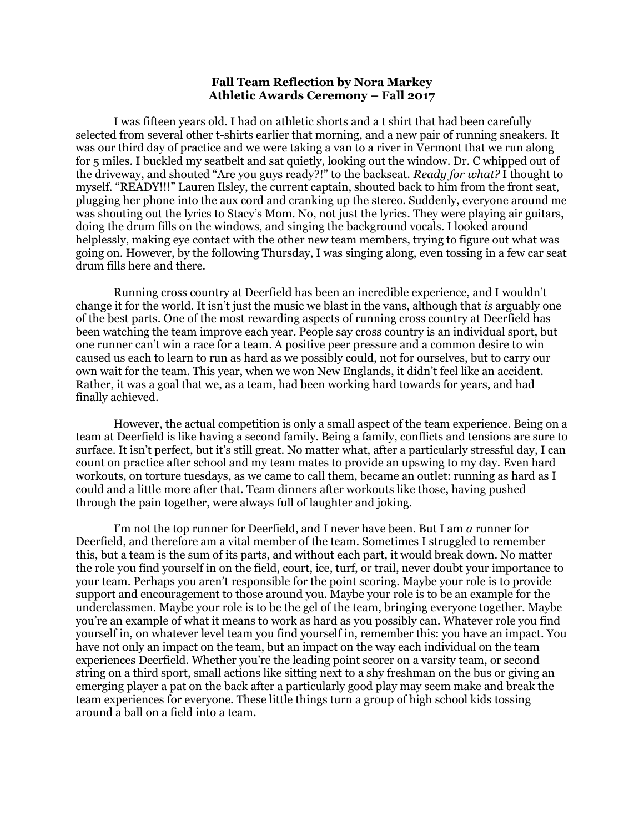## **Fall Team Reflection by Nora Markey Athletic Awards Ceremony – Fall 2017**

I was fifteen years old. I had on athletic shorts and a t shirt that had been carefully selected from several other t-shirts earlier that morning, and a new pair of running sneakers. It was our third day of practice and we were taking a van to a river in Vermont that we run along for 5 miles. I buckled my seatbelt and sat quietly, looking out the window. Dr. C whipped out of the driveway, and shouted "Are you guys ready?!" to the backseat. *Ready for what?* I thought to myself. "READY!!!" Lauren Ilsley, the current captain, shouted back to him from the front seat, plugging her phone into the aux cord and cranking up the stereo. Suddenly, everyone around me was shouting out the lyrics to Stacy's Mom. No, not just the lyrics. They were playing air guitars, doing the drum fills on the windows, and singing the background vocals. I looked around helplessly, making eye contact with the other new team members, trying to figure out what was going on. However, by the following Thursday, I was singing along, even tossing in a few car seat drum fills here and there.

Running cross country at Deerfield has been an incredible experience, and I wouldn't change it for the world. It isn't just the music we blast in the vans, although that *is* arguably one of the best parts. One of the most rewarding aspects of running cross country at Deerfield has been watching the team improve each year. People say cross country is an individual sport, but one runner can't win a race for a team. A positive peer pressure and a common desire to win caused us each to learn to run as hard as we possibly could, not for ourselves, but to carry our own wait for the team. This year, when we won New Englands, it didn't feel like an accident. Rather, it was a goal that we, as a team, had been working hard towards for years, and had finally achieved.

However, the actual competition is only a small aspect of the team experience. Being on a team at Deerfield is like having a second family. Being a family, conflicts and tensions are sure to surface. It isn't perfect, but it's still great. No matter what, after a particularly stressful day, I can count on practice after school and my team mates to provide an upswing to my day. Even hard workouts, on torture tuesdays, as we came to call them, became an outlet: running as hard as I could and a little more after that. Team dinners after workouts like those, having pushed through the pain together, were always full of laughter and joking.

I'm not the top runner for Deerfield, and I never have been. But I am *a* runner for Deerfield, and therefore am a vital member of the team. Sometimes I struggled to remember this, but a team is the sum of its parts, and without each part, it would break down. No matter the role you find yourself in on the field, court, ice, turf, or trail, never doubt your importance to your team. Perhaps you aren't responsible for the point scoring. Maybe your role is to provide support and encouragement to those around you. Maybe your role is to be an example for the underclassmen. Maybe your role is to be the gel of the team, bringing everyone together. Maybe you're an example of what it means to work as hard as you possibly can. Whatever role you find yourself in, on whatever level team you find yourself in, remember this: you have an impact. You have not only an impact on the team, but an impact on the way each individual on the team experiences Deerfield. Whether you're the leading point scorer on a varsity team, or second string on a third sport, small actions like sitting next to a shy freshman on the bus or giving an emerging player a pat on the back after a particularly good play may seem make and break the team experiences for everyone. These little things turn a group of high school kids tossing around a ball on a field into a team.